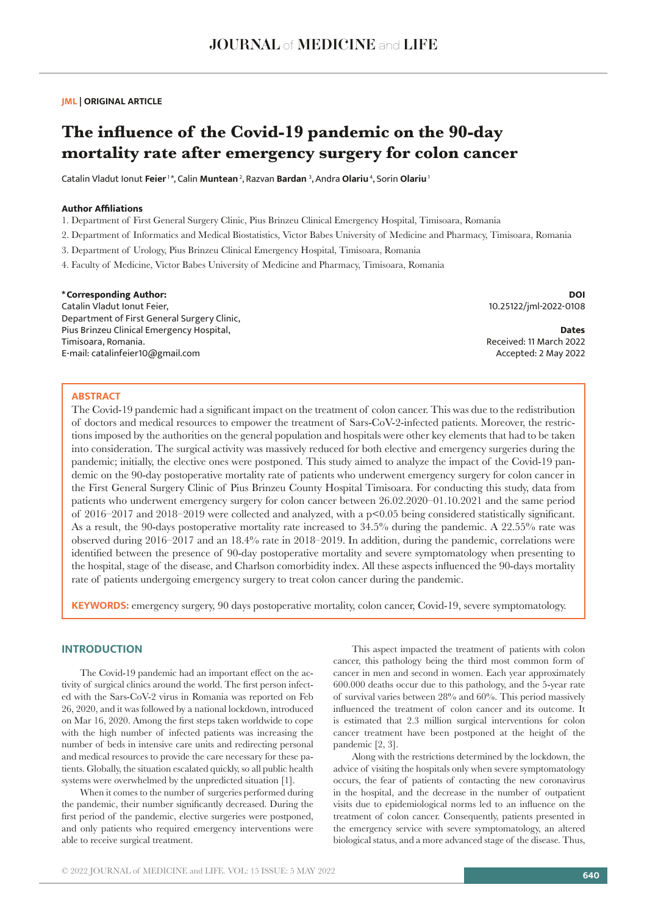## **JML | ORIGINAL ARTICLE**

# **The influence of the Covid-19 pandemic on the 90-day mortality rate after emergency surgery for colon cancer**

Catalin Vladut Ionut **Feier** 1 \*, Calin **Muntean** 2, Razvan **Bardan** <sup>3</sup> , Andra **Olariu** 4, Sorin **Olariu**<sup>1</sup>

# **Author Affiliations**

1. Department of First General Surgery Clinic, Pius Brinzeu Clinical Emergency Hospital, Timisoara, Romania

- 2. Department of Informatics and Medical Biostatistics, Victor Babes University of Medicine and Pharmacy, Timisoara, Romania
- 3. Department of Urology, Pius Brinzeu Clinical Emergency Hospital, Timisoara, Romania
- 4. Faculty of Medicine, Victor Babes University of Medicine and Pharmacy, Timisoara, Romania

#### **\*Corresponding Author:**

Catalin Vladut Ionut Feier, Department of First General Surgery Clinic, Pius Brinzeu Clinical Emergency Hospital, Timisoara, Romania. E-mail: catalinfeier10@gmail.com

**DOI** 10.25122/jml-2022-0108

**Dates** Received: 11 March 2022 Accepted: 2 May 2022

## **ABSTRACT**

The Covid-19 pandemic had a significant impact on the treatment of colon cancer. This was due to the redistribution of doctors and medical resources to empower the treatment of Sars-CoV-2-infected patients. Moreover, the restrictions imposed by the authorities on the general population and hospitals were other key elements that had to be taken into consideration. The surgical activity was massively reduced for both elective and emergency surgeries during the pandemic; initially, the elective ones were postponed. This study aimed to analyze the impact of the Covid-19 pandemic on the 90-day postoperative mortality rate of patients who underwent emergency surgery for colon cancer in the First General Surgery Clinic of Pius Brinzeu County Hospital Timisoara. For conducting this study, data from patients who underwent emergency surgery for colon cancer between 26.02.2020–01.10.2021 and the same period of 2016–2017 and 2018–2019 were collected and analyzed, with a p<0.05 being considered statistically significant. As a result, the 90-days postoperative mortality rate increased to 34.5% during the pandemic. A 22.55% rate was observed during 2016–2017 and an 18.4% rate in 2018–2019. In addition, during the pandemic, correlations were identified between the presence of 90-day postoperative mortality and severe symptomatology when presenting to the hospital, stage of the disease, and Charlson comorbidity index. All these aspects influenced the 90-days mortality rate of patients undergoing emergency surgery to treat colon cancer during the pandemic.

**KEYWORDS:** emergency surgery, 90 days postoperative mortality, colon cancer, Covid-19, severe symptomatology.

# **INTRODUCTION**

The Covid-19 pandemic had an important effect on the activity of surgical clinics around the world. The first person infected with the Sars-CoV-2 virus in Romania was reported on Feb 26, 2020, and it was followed by a national lockdown, introduced on Mar 16, 2020. Among the first steps taken worldwide to cope with the high number of infected patients was increasing the number of beds in intensive care units and redirecting personal and medical resources to provide the care necessary for these patients. Globally, the situation escalated quickly, so all public health systems were overwhelmed by the unpredicted situation [1].

When it comes to the number of surgeries performed during the pandemic, their number significantly decreased. During the first period of the pandemic, elective surgeries were postponed, and only patients who required emergency interventions were able to receive surgical treatment.

This aspect impacted the treatment of patients with colon cancer, this pathology being the third most common form of cancer in men and second in women. Each year approximately 600.000 deaths occur due to this pathology, and the 5-year rate of survival varies between 28% and 60%. This period massively influenced the treatment of colon cancer and its outcome. It is estimated that 2.3 million surgical interventions for colon cancer treatment have been postponed at the height of the pandemic [2, 3].

Along with the restrictions determined by the lockdown, the advice of visiting the hospitals only when severe symptomatology occurs, the fear of patients of contacting the new coronavirus in the hospital, and the decrease in the number of outpatient visits due to epidemiological norms led to an influence on the treatment of colon cancer. Consequently, patients presented in the emergency service with severe symptomatology, an altered biological status, and a more advanced stage of the disease. Thus,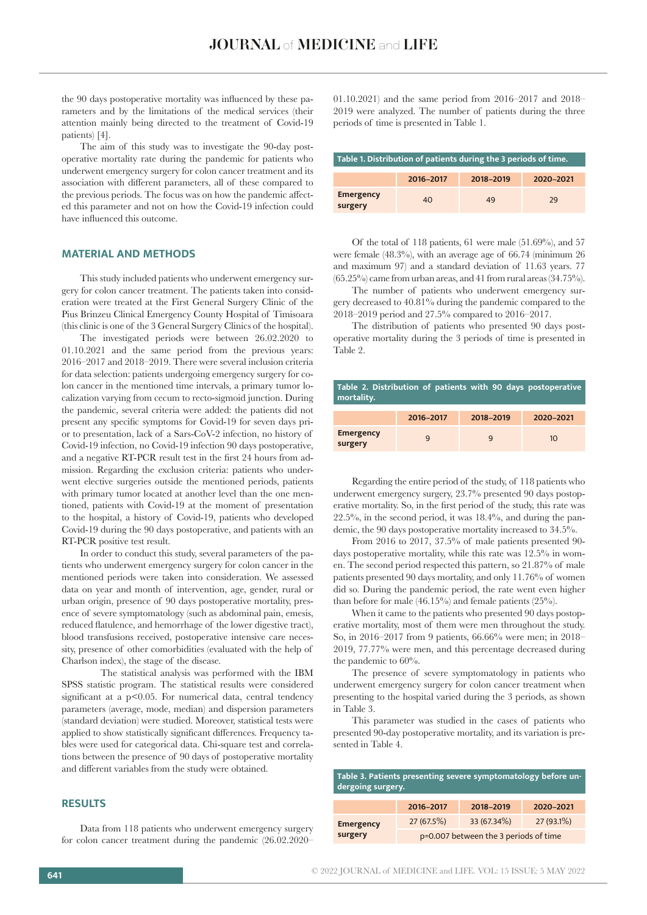the 90 days postoperative mortality was influenced by these parameters and by the limitations of the medical services (their attention mainly being directed to the treatment of Covid-19 patients) [4].

The aim of this study was to investigate the 90-day postoperative mortality rate during the pandemic for patients who underwent emergency surgery for colon cancer treatment and its association with different parameters, all of these compared to the previous periods. The focus was on how the pandemic affected this parameter and not on how the Covid-19 infection could have influenced this outcome.

### **MATERIAL AND METHODS**

This study included patients who underwent emergency surgery for colon cancer treatment. The patients taken into consideration were treated at the First General Surgery Clinic of the Pius Brinzeu Clinical Emergency County Hospital of Timisoara (this clinic is one of the 3 General Surgery Clinics of the hospital).

The investigated periods were between 26.02.2020 to 01.10.2021 and the same period from the previous years: 2016–2017 and 2018–2019. There were several inclusion criteria for data selection: patients undergoing emergency surgery for colon cancer in the mentioned time intervals, a primary tumor localization varying from cecum to recto-sigmoid junction. During the pandemic, several criteria were added: the patients did not present any specific symptoms for Covid-19 for seven days prior to presentation, lack of a Sars-CoV-2 infection, no history of Covid-19 infection, no Covid-19 infection 90 days postoperative, and a negative RT-PCR result test in the first 24 hours from admission. Regarding the exclusion criteria: patients who underwent elective surgeries outside the mentioned periods, patients with primary tumor located at another level than the one mentioned, patients with Covid-19 at the moment of presentation to the hospital, a history of Covid-19, patients who developed Covid-19 during the 90 days postoperative, and patients with an RT-PCR positive test result.

In order to conduct this study, several parameters of the patients who underwent emergency surgery for colon cancer in the mentioned periods were taken into consideration. We assessed data on year and month of intervention, age, gender, rural or urban origin, presence of 90 days postoperative mortality, presence of severe symptomatology (such as abdominal pain, emesis, reduced flatulence, and hemorrhage of the lower digestive tract), blood transfusions received, postoperative intensive care necessity, presence of other comorbidities (evaluated with the help of Charlson index), the stage of the disease.

The statistical analysis was performed with the IBM SPSS statistic program. The statistical results were considered significant at a  $p<0.05$ . For numerical data, central tendency parameters (average, mode, median) and dispersion parameters (standard deviation) were studied. Moreover, statistical tests were applied to show statistically significant differences. Frequency tables were used for categorical data. Chi-square test and correlations between the presence of 90 days of postoperative mortality and different variables from the study were obtained.

# **RESULTS**

Data from 118 patients who underwent emergency surgery for colon cancer treatment during the pandemic (26.02.2020– 01.10.2021) and the same period from 2016–2017 and 2018– 2019 were analyzed. The number of patients during the three periods of time is presented in Table 1.

| Table 1. Distribution of patients during the 3 periods of time. |                                     |    |    |  |  |
|-----------------------------------------------------------------|-------------------------------------|----|----|--|--|
|                                                                 | 2018-2019<br>2016-2017<br>2020-2021 |    |    |  |  |
| <b>Emergency</b><br>surgery                                     | 40                                  | 49 | 29 |  |  |

Of the total of 118 patients, 61 were male (51.69%), and 57 were female (48.3%), with an average age of 66.74 (minimum 26 and maximum 97) and a standard deviation of 11.63 years. 77 (65.25%) came from urban areas, and 41 from rural areas (34.75%).

The number of patients who underwent emergency surgery decreased to 40.81% during the pandemic compared to the 2018–2019 period and 27.5% compared to 2016–2017.

The distribution of patients who presented 90 days postoperative mortality during the 3 periods of time is presented in Table 2.

| Table 2. Distribution of patients with 90 days postoperative<br>mortality. |           |           |                 |
|----------------------------------------------------------------------------|-----------|-----------|-----------------|
|                                                                            | 2016-2017 | 2018-2019 | 2020-2021       |
| <b>Emergency</b><br>surgery                                                | q         | q         | 10 <sup>1</sup> |

Regarding the entire period of the study, of 118 patients who underwent emergency surgery, 23.7% presented 90 days postoperative mortality. So, in the first period of the study, this rate was 22.5%, in the second period, it was 18.4%, and during the pandemic, the 90 days postoperative mortality increased to 34.5%.

From 2016 to 2017, 37.5% of male patients presented 90 days postoperative mortality, while this rate was 12.5% in women. The second period respected this pattern, so 21.87% of male patients presented 90 days mortality, and only 11.76% of women did so. During the pandemic period, the rate went even higher than before for male (46.15%) and female patients (25%).

When it came to the patients who presented 90 days postoperative mortality, most of them were men throughout the study. So, in 2016–2017 from 9 patients, 66.66% were men; in 2018– 2019, 77.77% were men, and this percentage decreased during the pandemic to 60%.

The presence of severe symptomatology in patients who underwent emergency surgery for colon cancer treatment when presenting to the hospital varied during the 3 periods, as shown in Table 3.

This parameter was studied in the cases of patients who presented 90-day postoperative mortality, and its variation is presented in Table 4.

| Table 3. Patients presenting severe symptomatology before un-<br>dergoing surgery. |                                       |             |              |
|------------------------------------------------------------------------------------|---------------------------------------|-------------|--------------|
|                                                                                    | 2016-2017                             | 2018-2019   | 2020-2021    |
| <b>Emergency</b>                                                                   | 27 (67.5%)                            | 33 (67.34%) | $27(93.1\%)$ |
| surgery                                                                            | p=0.007 between the 3 periods of time |             |              |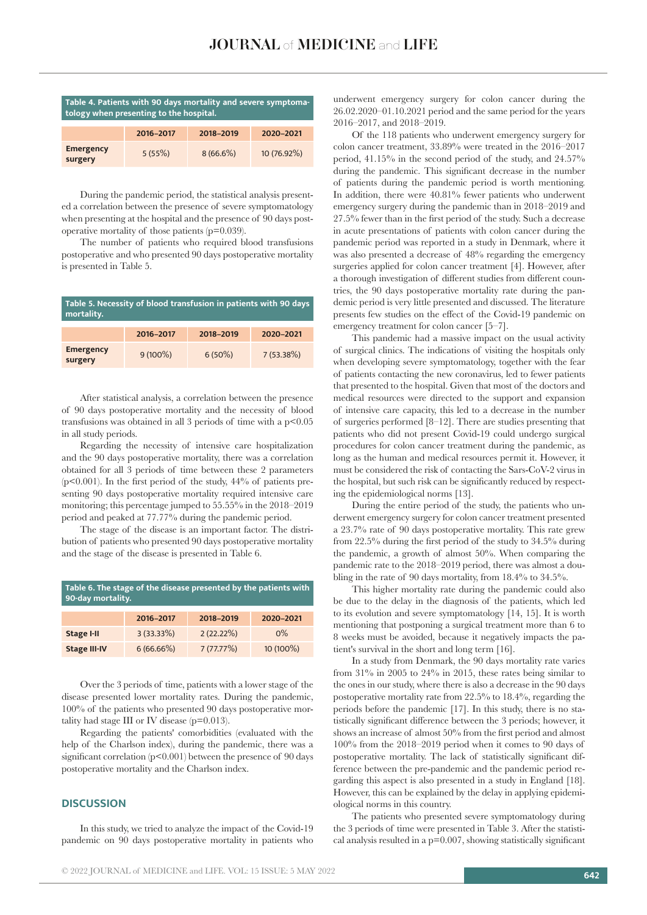| Table 4. Patients with 90 days mortality and severe symptoma-<br>tology when presenting to the hospital. |           |             |             |
|----------------------------------------------------------------------------------------------------------|-----------|-------------|-------------|
|                                                                                                          | 2016-2017 | 2018-2019   | 2020-2021   |
| <b>Emergency</b><br>surgery                                                                              | 5(55%)    | $8(66.6\%)$ | 10 (76.92%) |

During the pandemic period, the statistical analysis presented a correlation between the presence of severe symptomatology when presenting at the hospital and the presence of 90 days postoperative mortality of those patients (p=0.039).

The number of patients who required blood transfusions postoperative and who presented 90 days postoperative mortality is presented in Table 5.

| Table 5. Necessity of blood transfusion in patients with 90 days<br>mortality. |            |           |              |
|--------------------------------------------------------------------------------|------------|-----------|--------------|
|                                                                                | 2016-2017  | 2018-2019 | 2020-2021    |
| <b>Emergency</b><br>surgery                                                    | $9(100\%)$ | $6(50\%)$ | $7(53.38\%)$ |

After statistical analysis, a correlation between the presence of 90 days postoperative mortality and the necessity of blood transfusions was obtained in all 3 periods of time with a p<0.05 in all study periods.

Regarding the necessity of intensive care hospitalization and the 90 days postoperative mortality, there was a correlation obtained for all 3 periods of time between these 2 parameters  $(p<0.001)$ . In the first period of the study,  $44%$  of patients presenting 90 days postoperative mortality required intensive care monitoring; this percentage jumped to 55.55% in the 2018–2019 period and peaked at 77.77% during the pandemic period.

The stage of the disease is an important factor. The distribution of patients who presented 90 days postoperative mortality and the stage of the disease is presented in Table 6.

| Table 6. The stage of the disease presented by the patients with<br>90-day mortality. |           |           |           |
|---------------------------------------------------------------------------------------|-----------|-----------|-----------|
|                                                                                       | 2016-2017 | 2018-2019 | 2020-2021 |
| Stage I-II                                                                            | 3(33.33%) | 2(22.22%) | $0\%$     |
| <b>Stage III-IV</b>                                                                   | 6(66.66%) | 7(77.77%) | 10 (100%) |

Over the 3 periods of time, patients with a lower stage of the disease presented lower mortality rates. During the pandemic, 100% of the patients who presented 90 days postoperative mortality had stage III or IV disease (p=0.013).

Regarding the patients' comorbidities (evaluated with the help of the Charlson index), during the pandemic, there was a significant correlation (p<0.001) between the presence of 90 days postoperative mortality and the Charlson index.

# **DISCUSSION**

In this study, we tried to analyze the impact of the Covid-19 pandemic on 90 days postoperative mortality in patients who

underwent emergency surgery for colon cancer during the 26.02.2020–01.10.2021 period and the same period for the years 2016–2017, and 2018–2019.

Of the 118 patients who underwent emergency surgery for colon cancer treatment, 33.89% were treated in the 2016–2017 period, 41.15% in the second period of the study, and 24.57% during the pandemic. This significant decrease in the number of patients during the pandemic period is worth mentioning. In addition, there were 40.81% fewer patients who underwent emergency surgery during the pandemic than in 2018–2019 and 27.5% fewer than in the first period of the study. Such a decrease in acute presentations of patients with colon cancer during the pandemic period was reported in a study in Denmark, where it was also presented a decrease of 48% regarding the emergency surgeries applied for colon cancer treatment [4]. However, after a thorough investigation of different studies from different countries, the 90 days postoperative mortality rate during the pandemic period is very little presented and discussed. The literature presents few studies on the effect of the Covid-19 pandemic on emergency treatment for colon cancer [5–7].

This pandemic had a massive impact on the usual activity of surgical clinics. The indications of visiting the hospitals only when developing severe symptomatology, together with the fear of patients contacting the new coronavirus, led to fewer patients that presented to the hospital. Given that most of the doctors and medical resources were directed to the support and expansion of intensive care capacity, this led to a decrease in the number of surgeries performed [8–12]. There are studies presenting that patients who did not present Covid-19 could undergo surgical procedures for colon cancer treatment during the pandemic, as long as the human and medical resources permit it. However, it must be considered the risk of contacting the Sars-CoV-2 virus in the hospital, but such risk can be significantly reduced by respecting the epidemiological norms [13].

During the entire period of the study, the patients who underwent emergency surgery for colon cancer treatment presented a 23.7% rate of 90 days postoperative mortality. This rate grew from 22.5% during the first period of the study to 34.5% during the pandemic, a growth of almost 50%. When comparing the pandemic rate to the 2018–2019 period, there was almost a doubling in the rate of 90 days mortality, from 18.4% to 34.5%.

This higher mortality rate during the pandemic could also be due to the delay in the diagnosis of the patients, which led to its evolution and severe symptomatology [14, 15]. It is worth mentioning that postponing a surgical treatment more than 6 to 8 weeks must be avoided, because it negatively impacts the patient's survival in the short and long term [16].

In a study from Denmark, the 90 days mortality rate varies from  $31\%$  in 2005 to  $24\%$  in 2015, these rates being similar to the ones in our study, where there is also a decrease in the 90 days postoperative mortality rate from 22.5% to 18.4%, regarding the periods before the pandemic [17]. In this study, there is no statistically significant difference between the 3 periods; however, it shows an increase of almost 50% from the first period and almost 100% from the 2018–2019 period when it comes to 90 days of postoperative mortality. The lack of statistically significant difference between the pre-pandemic and the pandemic period regarding this aspect is also presented in a study in England [18]. However, this can be explained by the delay in applying epidemiological norms in this country.

The patients who presented severe symptomatology during the 3 periods of time were presented in Table 3. After the statistical analysis resulted in a  $p=0.007$ , showing statistically significant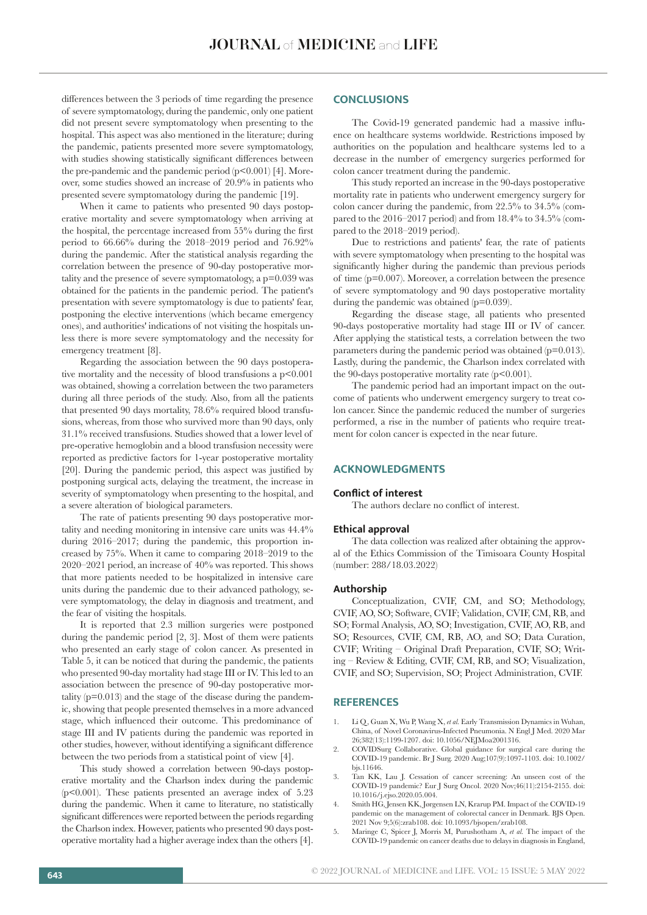differences between the 3 periods of time regarding the presence of severe symptomatology, during the pandemic, only one patient did not present severe symptomatology when presenting to the hospital. This aspect was also mentioned in the literature; during the pandemic, patients presented more severe symptomatology, with studies showing statistically significant differences between the pre-pandemic and the pandemic period  $(p<0.001)$  [4]. Moreover, some studies showed an increase of 20.9% in patients who presented severe symptomatology during the pandemic [19].

When it came to patients who presented 90 days postoperative mortality and severe symptomatology when arriving at the hospital, the percentage increased from 55% during the first period to 66.66% during the 2018–2019 period and 76.92% during the pandemic. After the statistical analysis regarding the correlation between the presence of 90-day postoperative mortality and the presence of severe symptomatology, a p=0.039 was obtained for the patients in the pandemic period. The patient's presentation with severe symptomatology is due to patients' fear, postponing the elective interventions (which became emergency ones), and authorities' indications of not visiting the hospitals unless there is more severe symptomatology and the necessity for emergency treatment [8].

Regarding the association between the 90 days postoperative mortality and the necessity of blood transfusions a p<0.001 was obtained, showing a correlation between the two parameters during all three periods of the study. Also, from all the patients that presented 90 days mortality, 78.6% required blood transfusions, whereas, from those who survived more than 90 days, only 31.1% received transfusions. Studies showed that a lower level of pre-operative hemoglobin and a blood transfusion necessity were reported as predictive factors for 1-year postoperative mortality [20]. During the pandemic period, this aspect was justified by postponing surgical acts, delaying the treatment, the increase in severity of symptomatology when presenting to the hospital, and a severe alteration of biological parameters.

The rate of patients presenting 90 days postoperative mortality and needing monitoring in intensive care units was 44.4% during 2016–2017; during the pandemic, this proportion increased by 75%. When it came to comparing 2018–2019 to the 2020–2021 period, an increase of 40% was reported. This shows that more patients needed to be hospitalized in intensive care units during the pandemic due to their advanced pathology, severe symptomatology, the delay in diagnosis and treatment, and the fear of visiting the hospitals.

It is reported that 2.3 million surgeries were postponed during the pandemic period [2, 3]. Most of them were patients who presented an early stage of colon cancer. As presented in Table 5, it can be noticed that during the pandemic, the patients who presented 90-day mortality had stage III or IV. This led to an association between the presence of 90-day postoperative mortality (p=0.013) and the stage of the disease during the pandemic, showing that people presented themselves in a more advanced stage, which influenced their outcome. This predominance of stage III and IV patients during the pandemic was reported in other studies, however, without identifying a significant difference between the two periods from a statistical point of view [4].

This study showed a correlation between 90-days postoperative mortality and the Charlson index during the pandemic (p<0.001). These patients presented an average index of 5.23 during the pandemic. When it came to literature, no statistically significant differences were reported between the periods regarding the Charlson index. However, patients who presented 90 days postoperative mortality had a higher average index than the others [4].

# **CONCLUSIONS**

The Covid-19 generated pandemic had a massive influence on healthcare systems worldwide. Restrictions imposed by authorities on the population and healthcare systems led to a decrease in the number of emergency surgeries performed for colon cancer treatment during the pandemic.

This study reported an increase in the 90-days postoperative mortality rate in patients who underwent emergency surgery for colon cancer during the pandemic, from 22.5% to 34.5% (compared to the 2016–2017 period) and from 18.4% to 34.5% (compared to the 2018–2019 period).

Due to restrictions and patients' fear, the rate of patients with severe symptomatology when presenting to the hospital was significantly higher during the pandemic than previous periods of time (p=0.007). Moreover, a correlation between the presence of severe symptomatology and 90 days postoperative mortality during the pandemic was obtained (p=0.039).

Regarding the disease stage, all patients who presented 90-days postoperative mortality had stage III or IV of cancer. After applying the statistical tests, a correlation between the two parameters during the pandemic period was obtained (p=0.013). Lastly, during the pandemic, the Charlson index correlated with the 90-days postoperative mortality rate (p<0.001).

The pandemic period had an important impact on the outcome of patients who underwent emergency surgery to treat colon cancer. Since the pandemic reduced the number of surgeries performed, a rise in the number of patients who require treatment for colon cancer is expected in the near future.

# **ACKNOWLEDGMENTS**

#### **Conflict of interest**

The authors declare no conflict of interest.

#### **Ethical approval**

The data collection was realized after obtaining the approval of the Ethics Commission of the Timisoara County Hospital (number: 288/18.03.2022)

### **Authorship**

Conceptualization, CVIF, CM, and SO; Methodology, CVIF, AO, SO; Software, CVIF; Validation, CVIF, CM, RB, and SO; Formal Analysis, AO, SO; Investigation, CVIF, AO, RB, and SO; Resources, CVIF, CM, RB, AO, and SO; Data Curation, CVIF; Writing – Original Draft Preparation, CVIF, SO; Writing – Review & Editing, CVIF, CM, RB, and SO; Visualization, CVIF, and SO; Supervision, SO; Project Administration, CVIF.

#### **REFERENCES**

- 1. Li Q, Guan X, Wu P, Wang X, *et al.* Early Transmission Dynamics in Wuhan, China, of Novel Coronavirus-Infected Pneumonia. N Engl J Med. 2020 Mar 26;382(13):1199-1207. doi: 10.1056/NEJMoa2001316.
- 2. COVIDSurg Collaborative. Global guidance for surgical care during the COVID-19 pandemic. Br J Surg. 2020 Aug;107(9):1097-1103. doi: 10.1002/ bjs.11646.
- 3. Tan KK, Lau J. Cessation of cancer screening: An unseen cost of the COVID-19 pandemic? Eur J Surg Oncol. 2020 Nov;46(11):2154-2155. doi: 10.1016/j.ejso.2020.05.004.
- Smith HG, Jensen KK, Jørgensen LN, Krarup PM. Impact of the COVID-19 pandemic on the management of colorectal cancer in Denmark. BJS Open. 2021 Nov 9;5(6):zrab108. doi: 10.1093/bjsopen/zrab108.
- 5. Maringe C, Spicer J, Morris M, Purushotham A, *et al.* The impact of the COVID-19 pandemic on cancer deaths due to delays in diagnosis in England,